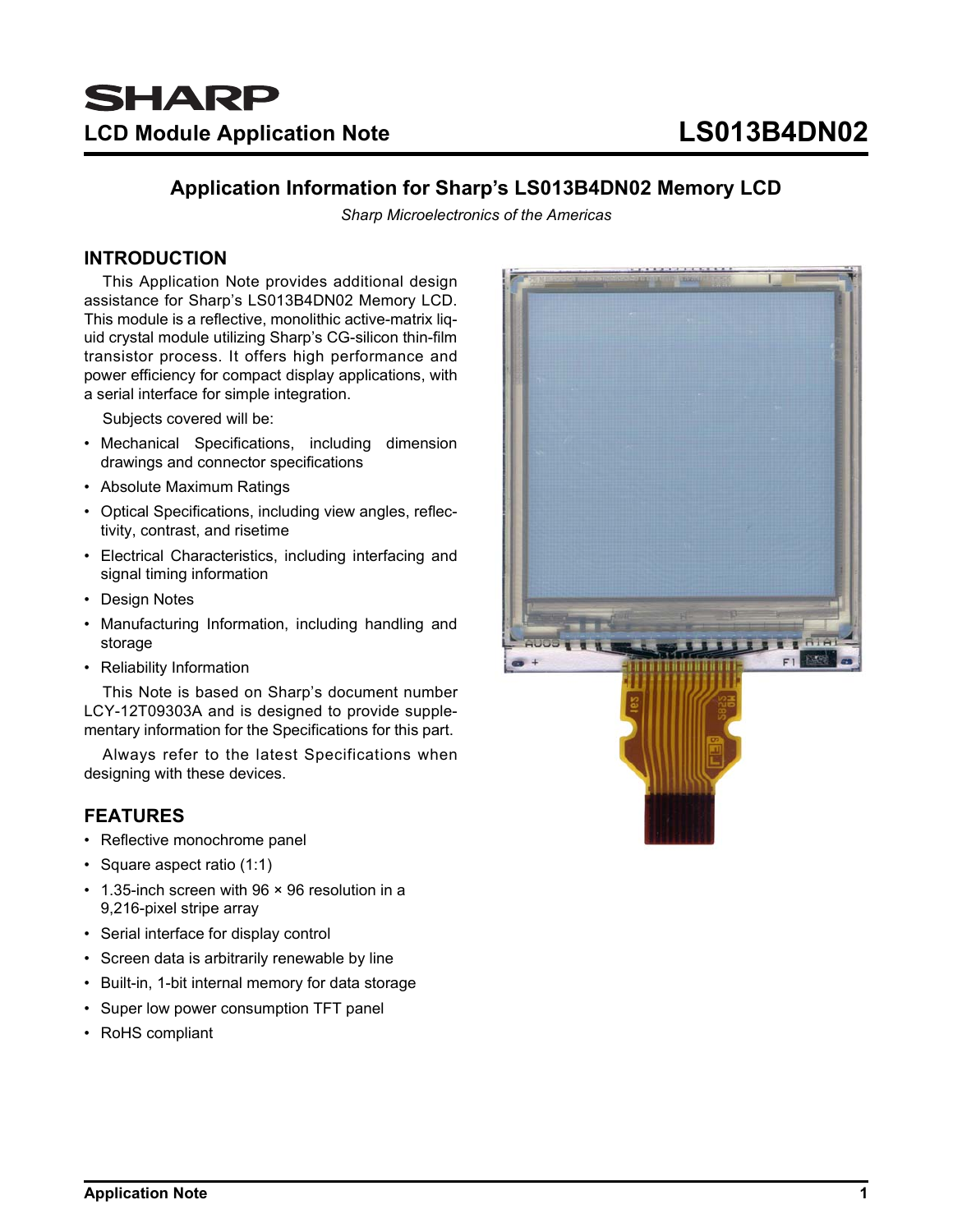# **Application Information for Sharp's LS013B4DN02 Memory LCD**

*Sharp Microelectronics of the Americas*

# **INTRODUCTION**

This Application Note provides additional design assistance for Sharp's LS013B4DN02 Memory LCD. This module is a reflective, monolithic active-matrix liquid crystal module utilizing Sharp's CG-silicon thin-film transistor process. It offers high performance and power efficiency for compact display applications, with a serial interface for simple integration.

Subjects covered will be:

- Mechanical Specifications, including dimension drawings and connector specifications
- Absolute Maximum Ratings
- Optical Specifications, including view angles, reflectivity, contrast, and risetime
- Electrical Characteristics, including interfacing and signal timing information
- Design Notes
- Manufacturing Information, including handling and storage
- Reliability Information

This Note is based on Sharp's document number LCY-12T09303A and is designed to provide supplementary information for the Specifications for this part.

Always refer to the latest Specifications when designing with these devices.

# **FEATURES**

- Reflective monochrome panel
- Square aspect ratio (1:1)
- 1.35-inch screen with 96 × 96 resolution in a 9,216-pixel stripe array
- Serial interface for display control
- Screen data is arbitrarily renewable by line
- Built-in, 1-bit internal memory for data storage
- Super low power consumption TFT panel
- RoHS compliant

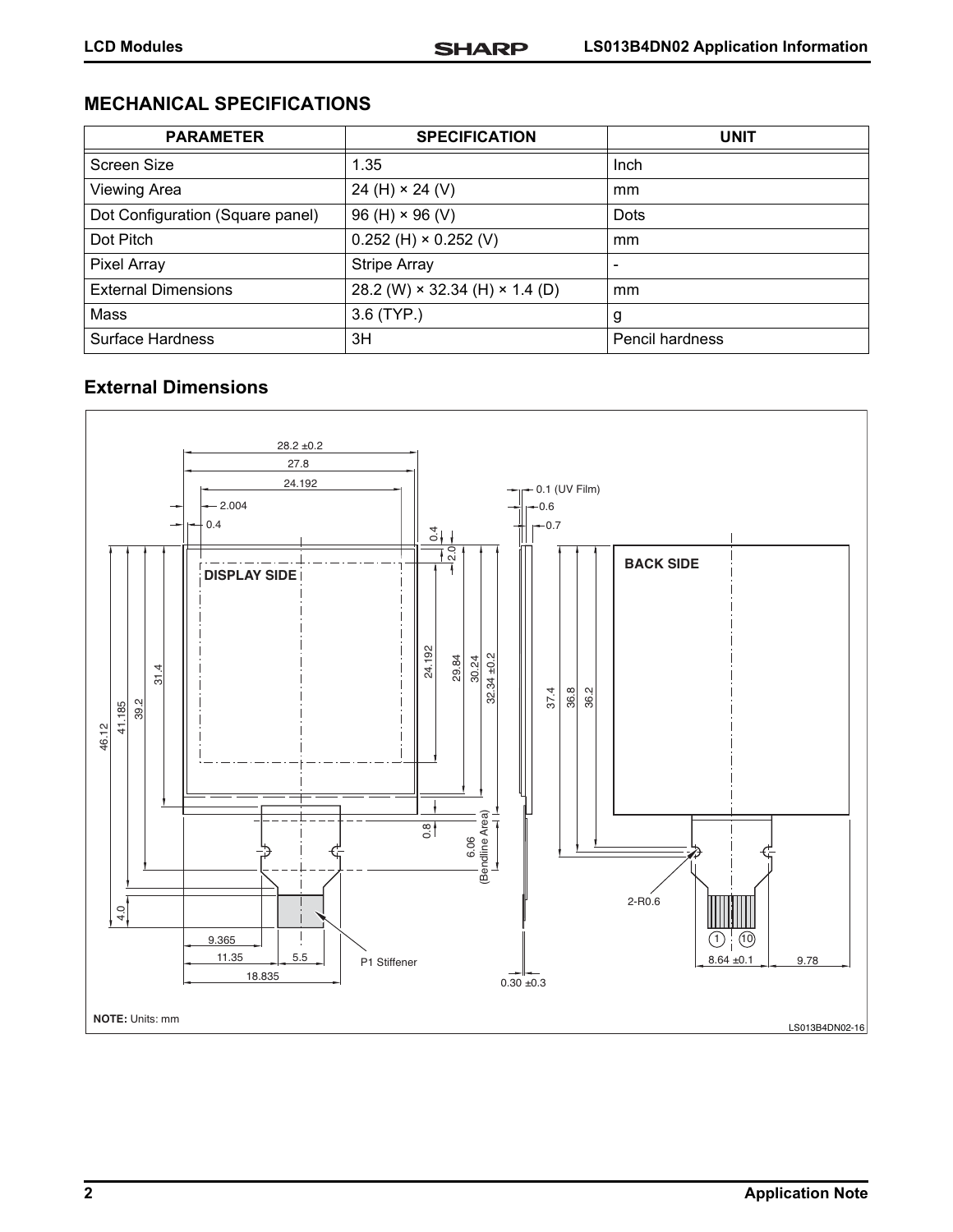# **MECHANICAL SPECIFICATIONS**

| <b>PARAMETER</b>                 | <b>SPECIFICATION</b>                         | <b>UNIT</b>              |
|----------------------------------|----------------------------------------------|--------------------------|
| Screen Size                      | 1.35                                         | Inch                     |
| <b>Viewing Area</b>              | 24 (H) $\times$ 24 (V)                       | mm                       |
| Dot Configuration (Square panel) | $96(H) \times 96(V)$                         | <b>Dots</b>              |
| Dot Pitch                        | $0.252$ (H) $\times$ 0.252 (V)               | mm                       |
| Pixel Array                      | <b>Stripe Array</b>                          | $\overline{\phantom{0}}$ |
| <b>External Dimensions</b>       | 28.2 (W) $\times$ 32.34 (H) $\times$ 1.4 (D) | mm                       |
| Mass                             | 3.6 (TYP.)                                   | g                        |
| Surface Hardness                 | 3H                                           | <b>Pencil hardness</b>   |

# **External Dimensions**

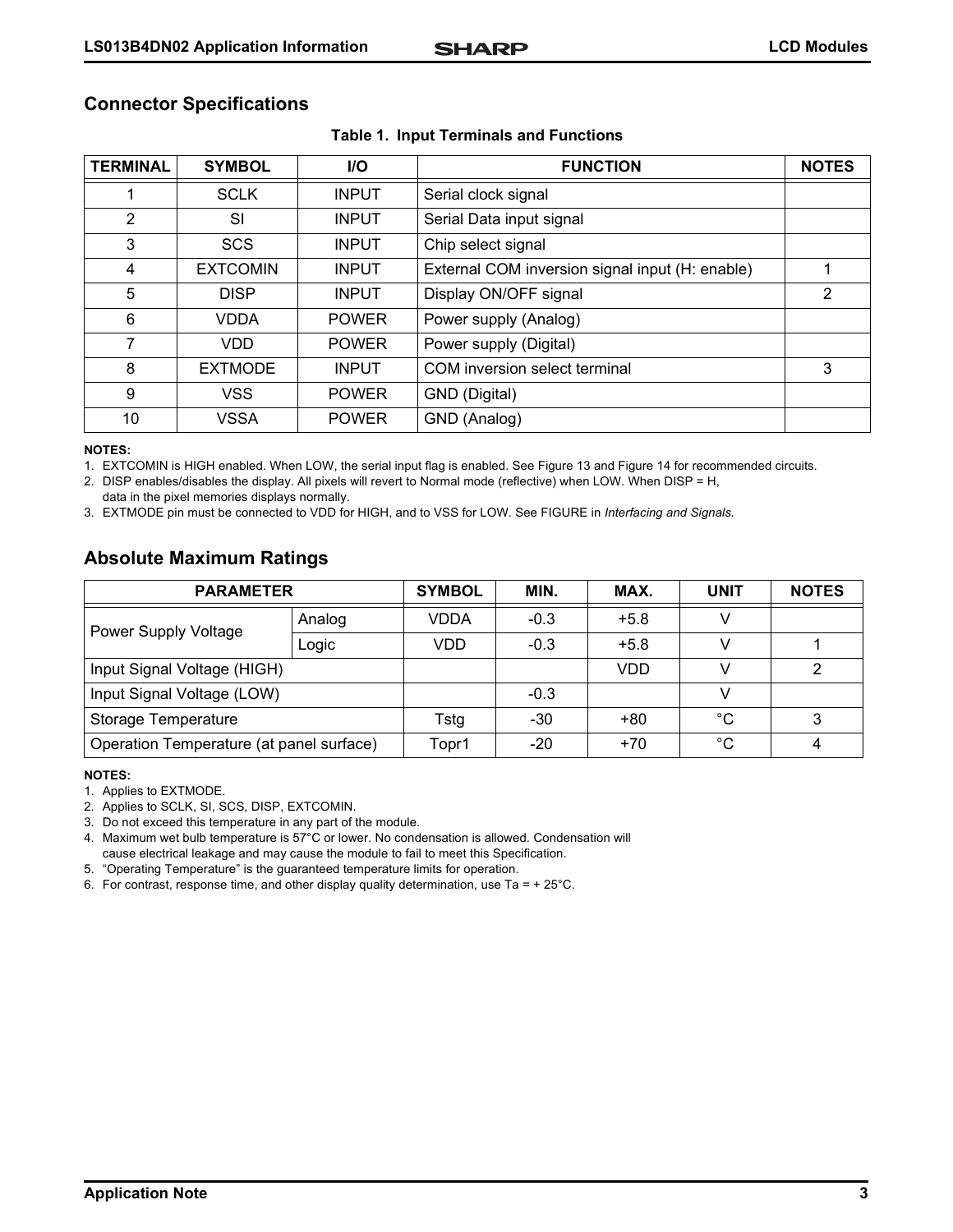|  | <b>Connector Specifications</b> |
|--|---------------------------------|
|--|---------------------------------|

| <b>TERMINAL</b> | <b>SYMBOL</b>   | I/O          | <b>FUNCTION</b>                                 | <b>NOTES</b>   |
|-----------------|-----------------|--------------|-------------------------------------------------|----------------|
|                 | <b>SCLK</b>     | <b>INPUT</b> | Serial clock signal                             |                |
| 2               | <b>SI</b>       | <b>INPUT</b> | Serial Data input signal                        |                |
| 3               | <b>SCS</b>      | <b>INPUT</b> | Chip select signal                              |                |
| 4               | <b>EXTCOMIN</b> | <b>INPUT</b> | External COM inversion signal input (H: enable) | 1              |
| 5               | <b>DISP</b>     | <b>INPUT</b> | Display ON/OFF signal                           | $\overline{2}$ |
| 6               | <b>VDDA</b>     | <b>POWER</b> | Power supply (Analog)                           |                |
| $\overline{7}$  | <b>VDD</b>      | <b>POWER</b> | Power supply (Digital)                          |                |
| 8               | <b>EXTMODE</b>  | <b>INPUT</b> | COM inversion select terminal                   | 3              |
| 9               | VSS             | <b>POWER</b> | GND (Digital)                                   |                |
| 10              | <b>VSSA</b>     | <b>POWER</b> | GND (Analog)                                    |                |

#### **Table 1. Input Terminals and Functions**

#### **NOTES:**

1. EXTCOMIN is HIGH enabled. When LOW, the serial input flag is enabled. See [Figure 13](#page-12-1) and [Figure 14](#page-12-0) for recommended circuits.

2. DISP enables/disables the display. All pixels will revert to Normal mode (reflective) when LOW. When DISP = H, data in the pixel memories displays normally.

3. EXTMODE pin must be connected to VDD for HIGH, and to VSS for LOW. See FIGURE in *Interfacing and Signals.* 

# **Absolute Maximum Ratings**

| <b>PARAMETER</b>                         |        | <b>SYMBOL</b> | MIN.   | MAX.       | <b>UNIT</b> | <b>NOTES</b> |
|------------------------------------------|--------|---------------|--------|------------|-------------|--------------|
| Power Supply Voltage                     | Analog | <b>VDDA</b>   | $-0.3$ | $+5.8$     |             |              |
|                                          | Logic  | VDD           | $-0.3$ | $+5.8$     |             |              |
| Input Signal Voltage (HIGH)              |        |               |        | <b>VDD</b> |             | 2            |
| Input Signal Voltage (LOW)               |        |               | $-0.3$ |            |             |              |
| Storage Temperature                      |        | Tstg          | -30    | $+80$      | $^{\circ}C$ | 3            |
| Operation Temperature (at panel surface) |        | Topr1         | -20    | $+70$      | $^{\circ}C$ |              |

#### **NOTES:**

1. Applies to EXTMODE.

2. Applies to SCLK, SI, SCS, DISP, EXTCOMIN.

3. Do not exceed this temperature in any part of the module.

4. Maximum wet bulb temperature is 57°C or lower. No condensation is allowed. Condensation will cause electrical leakage and may cause the module to fail to meet this Specification.

5. "Operating Temperature" is the guaranteed temperature limits for operation.

6. For contrast, response time, and other display quality determination, use Ta =  $+25^{\circ}$ C.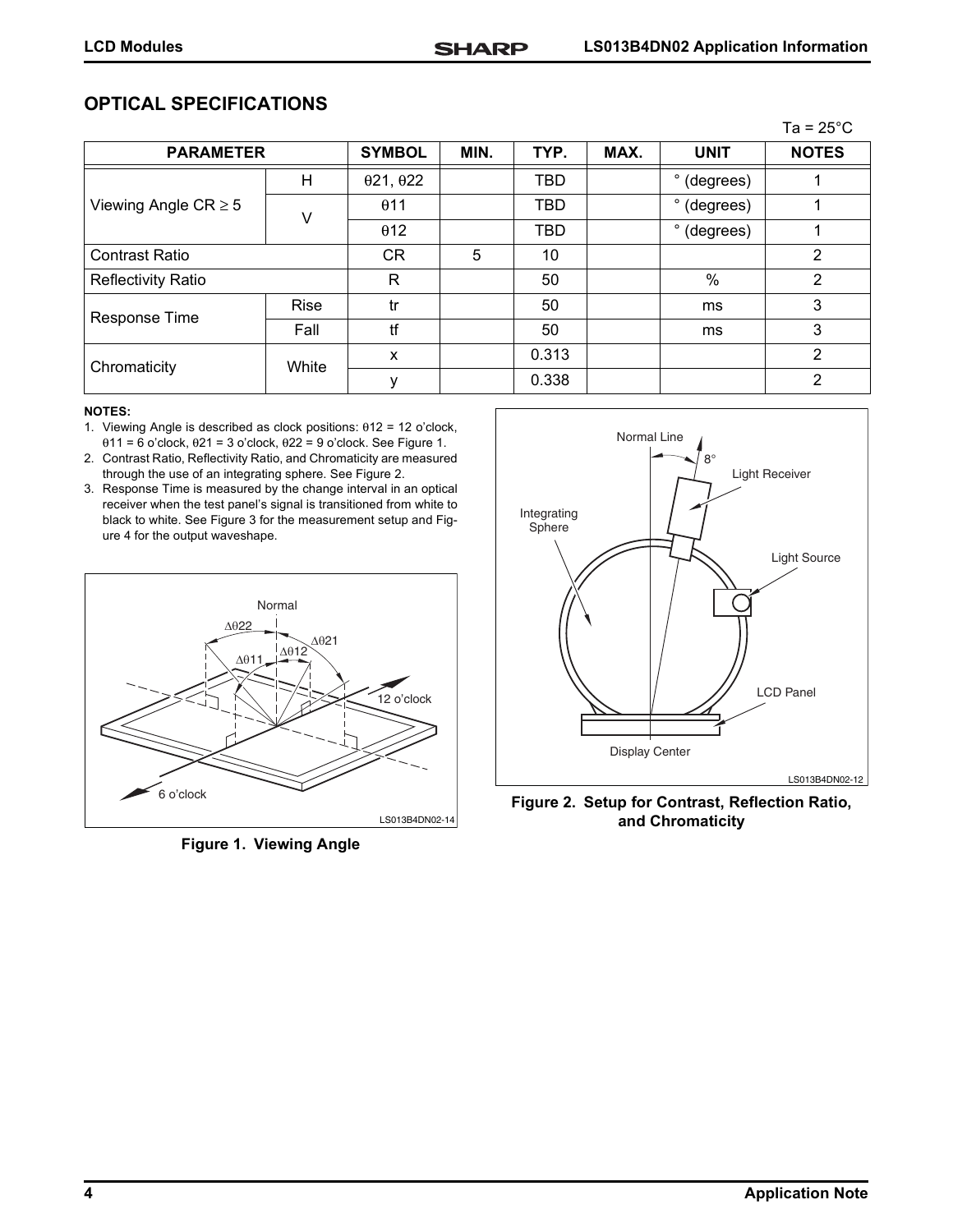# **OPTICAL SPECIFICATIONS**

|                           |             |                          |      |            |      |                      | Ta = $25^{\circ}$ C |
|---------------------------|-------------|--------------------------|------|------------|------|----------------------|---------------------|
| <b>PARAMETER</b>          |             | <b>SYMBOL</b>            | MIN. | TYP.       | MAX. | <b>UNIT</b>          | <b>NOTES</b>        |
|                           | H           | $\theta$ 21, $\theta$ 22 |      | <b>TBD</b> |      | $\circ$<br>(degrees) |                     |
| Viewing Angle $CR \geq 5$ | v           | $\theta$ 11              |      | TBD        |      | $\circ$<br>(degrees) |                     |
|                           |             | $\theta$ 12              |      | <b>TBD</b> |      | ۰<br>(degrees)       |                     |
| <b>Contrast Ratio</b>     |             | <b>CR</b>                | 5    | 10         |      |                      | 2                   |
| <b>Reflectivity Ratio</b> |             | R                        |      | 50         |      | $\%$                 | 2                   |
| Response Time             | <b>Rise</b> | tr                       |      | 50         |      | ms                   | 3                   |
|                           | Fall        | tf                       |      | 50         |      | ms                   | 3                   |
| Chromaticity              | White       | X                        |      | 0.313      |      |                      | $\overline{2}$      |
|                           |             |                          |      | 0.338      |      |                      | 2                   |

#### **NOTES:**

- 1. Viewing Angle is described as clock positions: θ12 = 12 o'clock, θ11 = 6 o'clock, θ21 = 3 o'clock, θ22 = 9 o'clock. See [Figure 1.](#page-3-0)
- 2. Contrast Ratio, Reflectivity Ratio, and Chromaticity are measured through the use of an integrating sphere. See [Figure 2](#page-3-1).
- 3. Response Time is measured by the change interval in an optical receiver when the test panel's signal is transitioned from white to black to white. See [Figure 3](#page-4-1) for the measurement setup and [Fig](#page-4-0)[ure 4](#page-4-0) for the output waveshape.



<span id="page-3-0"></span>**Figure 1. Viewing Angle**



<span id="page-3-1"></span>**Figure 2. Setup for Contrast, Reflection Ratio, and Chromaticity**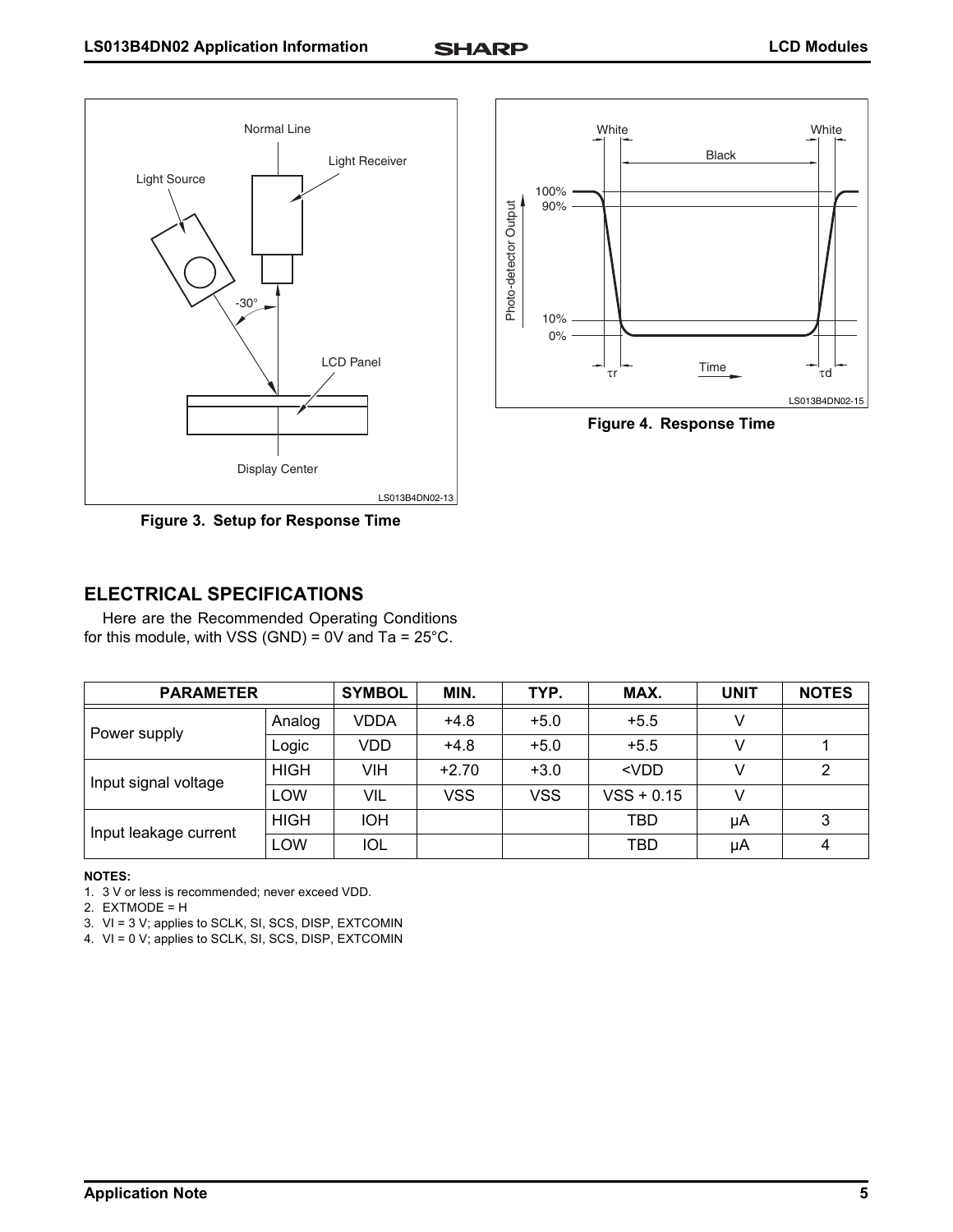100%

90%

10% 0%

Photo-detector Output

Photo-detector Output

LS013B4DN02-15

<span id="page-4-0"></span>**Figure 4. Response Time**

Time

 $\tau$ r  $\frac{1 \text{ Im } \theta}{\tau d}$ 

White White White Black



<span id="page-4-1"></span>**Figure 3. Setup for Response Time**

# **ELECTRICAL SPECIFICATIONS**

Here are the Recommended Operating Conditions for this module, with VSS (GND) =  $0V$  and Ta =  $25^{\circ}$ C.

| <b>PARAMETER</b>      |             | <b>SYMBOL</b> | MIN.    | TYP.   | MAX.         | <b>UNIT</b> | <b>NOTES</b> |
|-----------------------|-------------|---------------|---------|--------|--------------|-------------|--------------|
|                       | Analog      | <b>VDDA</b>   | $+4.8$  | $+5.0$ | $+5.5$       |             |              |
| Power supply          | Logic       | VDD           | $+4.8$  | $+5.0$ | $+5.5$       |             |              |
| Input signal voltage  | <b>HIGH</b> | VIH           | $+2.70$ | $+3.0$ | $<$ VDD      |             | 2            |
|                       | LOW         | VIL           | VSS     | VSS    | $VSS + 0.15$ |             |              |
| Input leakage current | <b>HIGH</b> | <b>IOH</b>    |         |        | TBD          | μA          |              |
|                       | LOW         | <b>IOL</b>    |         |        | TBD          | μA          | -4           |

#### **NOTES:**

1. 3 V or less is recommended; never exceed VDD.

2. EXTMODE = H

- 3. VI = 3 V; applies to SCLK, SI, SCS, DISP, EXTCOMIN
- 4. VI = 0 V; applies to SCLK, SI, SCS, DISP, EXTCOMIN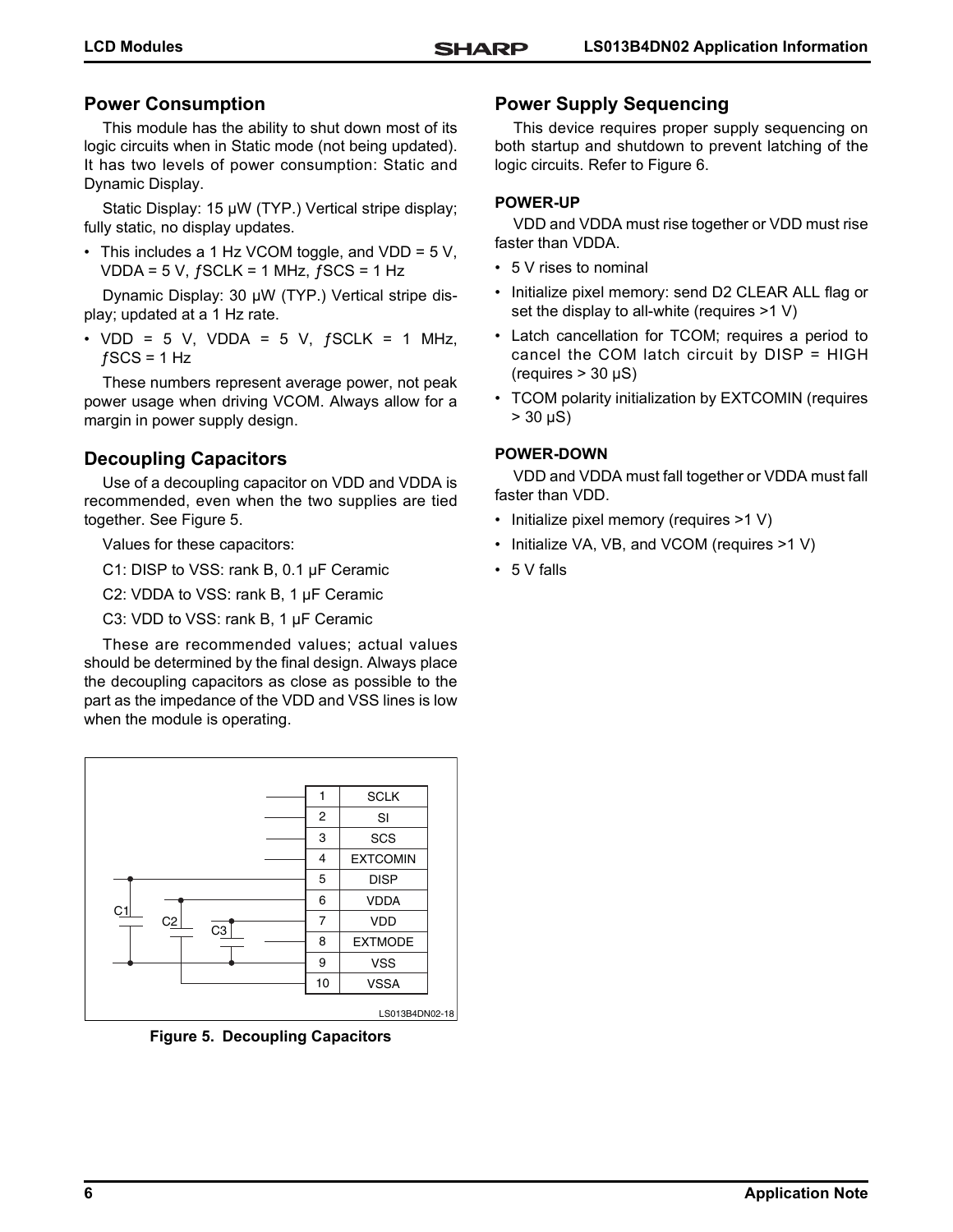# **Power Consumption**

This module has the ability to shut down most of its logic circuits when in Static mode (not being updated). It has two levels of power consumption: Static and Dynamic Display.

Static Display: 15 µW (TYP.) Vertical stripe display; fully static, no display updates.

• This includes a 1 Hz VCOM toggle, and VDD = 5 V, VDDA =  $5$  V,  $f$ SCLK =  $1$  MHz,  $f$ SCS =  $1$  Hz

Dynamic Display: 30 ȝW (TYP.) Vertical stripe display; updated at a 1 Hz rate.

• VDD = 5 V, VDDA = 5 V,  $fSCLK = 1$  MHz,  $fSCS = 1 Hz$ 

These numbers represent average power, not peak power usage when driving VCOM. Always allow for a margin in power supply design.

# **Decoupling Capacitors**

Use of a decoupling capacitor on VDD and VDDA is recommended, even when the two supplies are tied together. See [Figure 5](#page-5-0).

Values for these capacitors:

C1: DISP to VSS: rank B, 0.1 µF Ceramic

C2: VDDA to VSS: rank B, 1 µF Ceramic

C3: VDD to VSS: rank  $B$ , 1  $\mu$ F Ceramic

These are recommended values; actual values should be determined by the final design. Always place the decoupling capacitors as close as possible to the part as the impedance of the VDD and VSS lines is low when the module is operating.



<span id="page-5-0"></span>**Figure 5. Decoupling Capacitors**

# **Power Supply Sequencing**

This device requires proper supply sequencing on both startup and shutdown to prevent latching of the logic circuits. Refer to [Figure 6](#page-6-0).

## **POWER-UP**

VDD and VDDA must rise together or VDD must rise faster than VDDA.

- 5 V rises to nominal
- Initialize pixel memory: send D2 CLEAR ALL flag or set the display to all-white (requires >1 V)
- Latch cancellation for TCOM; requires a period to cancel the COM latch circuit by DISP = HIGH  $(requires > 30 \mu S)$
- TCOM polarity initialization by EXTCOMIN (requires  $> 30 \mu S$ )

## **POWER-DOWN**

VDD and VDDA must fall together or VDDA must fall faster than VDD.

- Initialize pixel memory (requires >1 V)
- Initialize VA, VB, and VCOM (requires >1 V)
- 5 V falls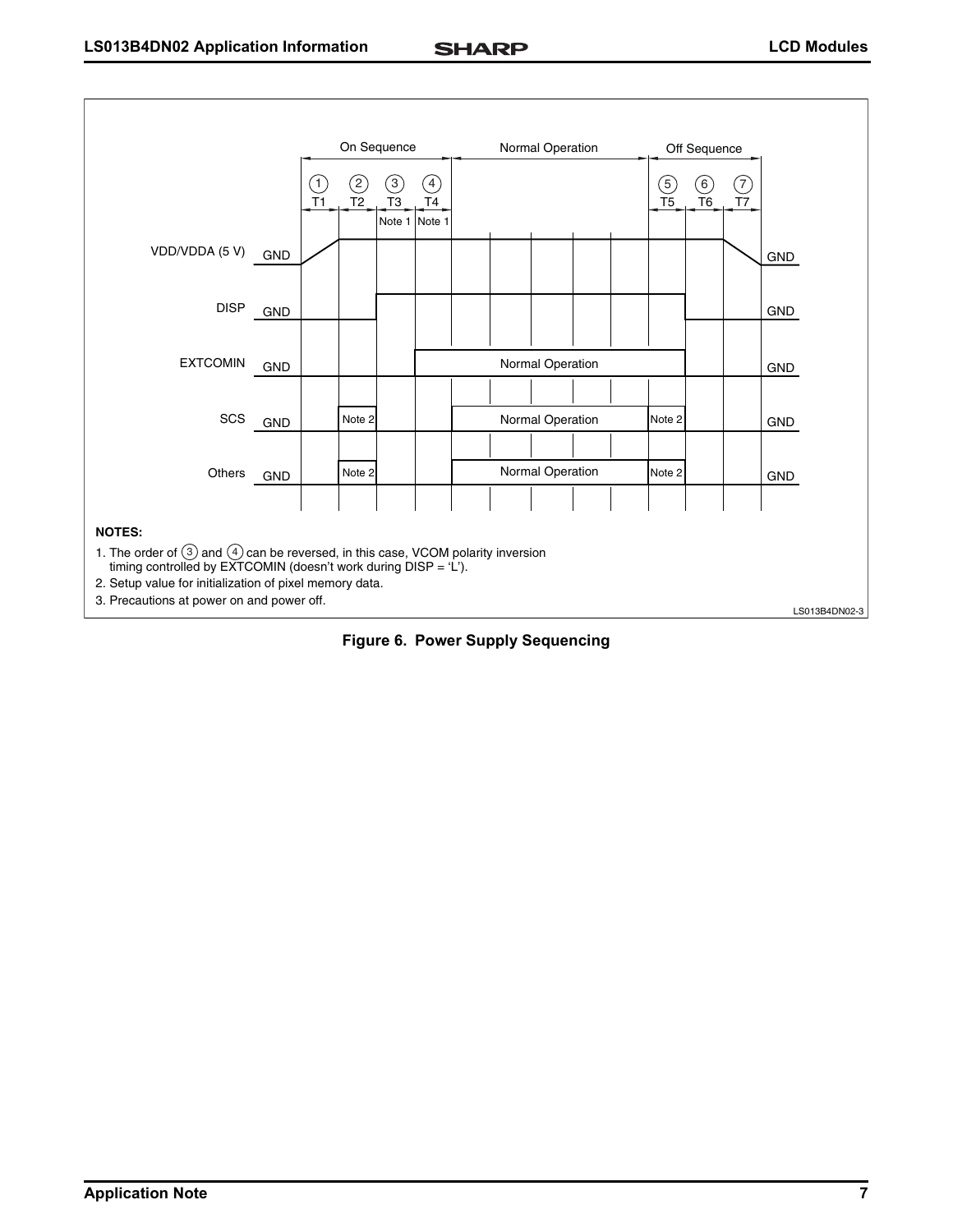

<span id="page-6-0"></span>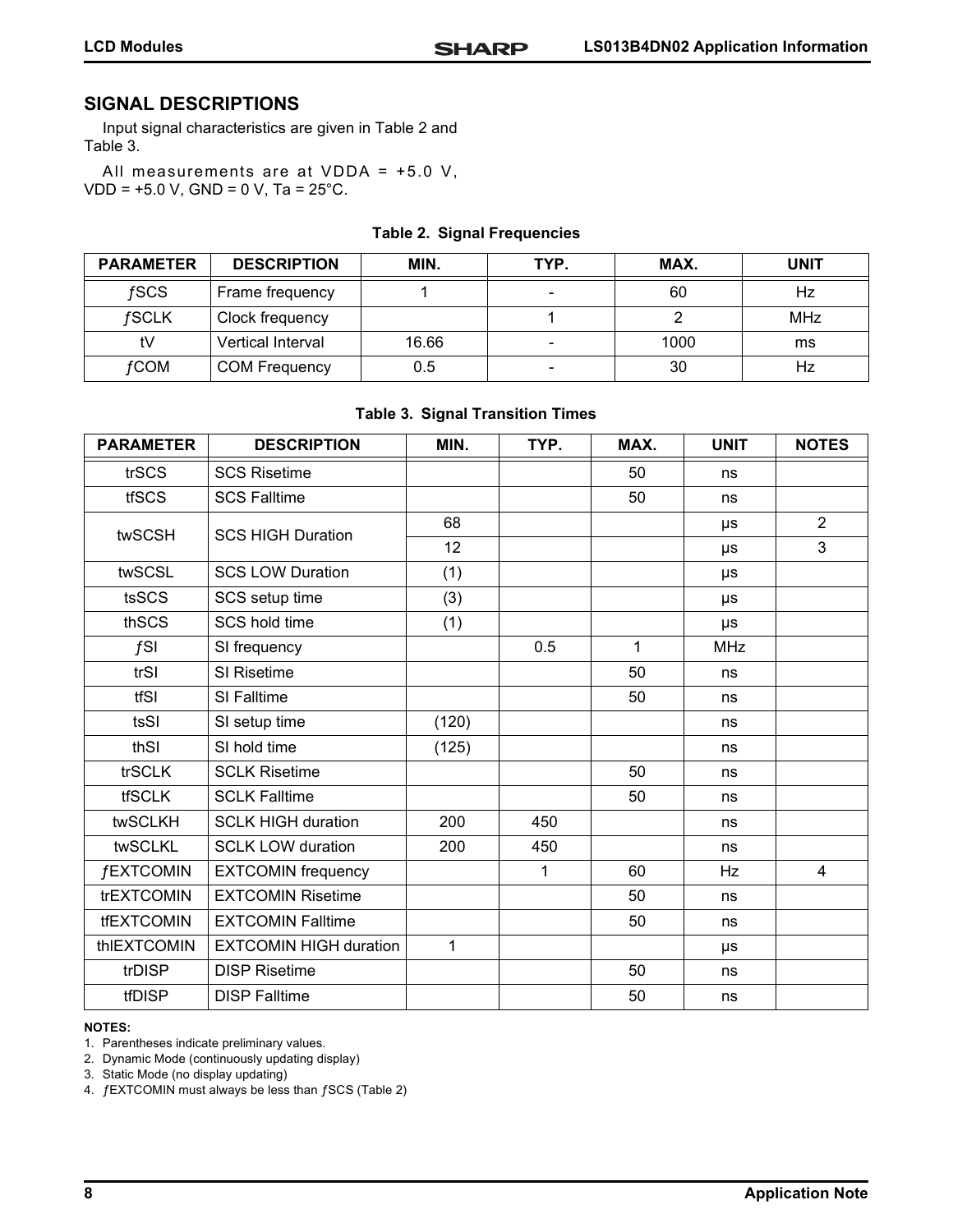# **SIGNAL DESCRIPTIONS**

Input signal characteristics are given in [Table 2](#page-7-0) and [Table 3](#page-7-1).

All measurements are at VDDA = +5.0 V, VDD = +5.0 V, GND = 0 V, Ta = 25°C.

#### **Table 2. Signal Frequencies**

<span id="page-7-0"></span>

| <b>PARAMETER</b> | <b>DESCRIPTION</b>   | MIN.  | TYP.                     | MAX. | <b>UNIT</b> |
|------------------|----------------------|-------|--------------------------|------|-------------|
| fSCS             | Frame frequency      |       | $\overline{\phantom{0}}$ | 60   | Hz          |
| fSCLK            | Clock frequency      |       |                          |      | <b>MHz</b>  |
| tV               | Vertical Interval    | 16.66 | $\overline{\phantom{a}}$ | 1000 | ms          |
| fCOM             | <b>COM Frequency</b> | 0.5   | $\overline{\phantom{0}}$ | 30   | Hz          |

#### **Table 3. Signal Transition Times**

<span id="page-7-1"></span>

| <b>PARAMETER</b>  | <b>DESCRIPTION</b>            | MIN.  | TYP. | MAX.         | <b>UNIT</b> | <b>NOTES</b>   |
|-------------------|-------------------------------|-------|------|--------------|-------------|----------------|
| trSCS             | <b>SCS Risetime</b>           |       |      | 50           | ns          |                |
| <b>tfSCS</b>      | <b>SCS Falltime</b>           |       |      | 50           | ns          |                |
| twSCSH            | <b>SCS HIGH Duration</b>      | 68    |      |              | μs          | $\overline{2}$ |
|                   |                               | 12    |      |              | μs          | 3              |
| twSCSL            | <b>SCS LOW Duration</b>       | (1)   |      |              | μs          |                |
| tsSCS             | SCS setup time                | (3)   |      |              | μs          |                |
| thSCS             | SCS hold time                 | (1)   |      |              | μs          |                |
| fSI               | SI frequency                  |       | 0.5  | $\mathbf{1}$ | <b>MHz</b>  |                |
| trSI              | SI Risetime                   |       |      | 50           | ns          |                |
| tfSI              | SI Falltime                   |       |      | 50           | ns          |                |
| tsSI              | SI setup time                 | (120) |      |              | ns          |                |
| thSI              | SI hold time                  | (125) |      |              | ns          |                |
| trSCLK            | <b>SCLK Risetime</b>          |       |      | 50           | ns          |                |
| <b>tfSCLK</b>     | <b>SCLK Falltime</b>          |       |      | 50           | ns          |                |
| twSCLKH           | <b>SCLK HIGH duration</b>     | 200   | 450  |              | ns          |                |
| twSCLKL           | <b>SCLK LOW duration</b>      | 200   | 450  |              | ns          |                |
| <b>fEXTCOMIN</b>  | <b>EXTCOMIN frequency</b>     |       | 1    | 60           | <b>Hz</b>   | $\overline{4}$ |
| trEXTCOMIN        | <b>EXTCOMIN Risetime</b>      |       |      | 50           | ns          |                |
| <b>tfEXTCOMIN</b> | <b>EXTCOMIN Falltime</b>      |       |      | 50           | ns          |                |
| thIEXTCOMIN       | <b>EXTCOMIN HIGH duration</b> | 1     |      |              | μs          |                |
| trDISP            | <b>DISP Risetime</b>          |       |      | 50           | ns          |                |
| tfDISP            | <b>DISP Falltime</b>          |       |      | 50           | ns          |                |

#### **NOTES:**

1. Parentheses indicate preliminary values.

2. Dynamic Mode (continuously updating display)

3. Static Mode (no display updating)

4. ƒEXTCOMIN must always be less than ƒSCS [\(Table 2\)](#page-7-0)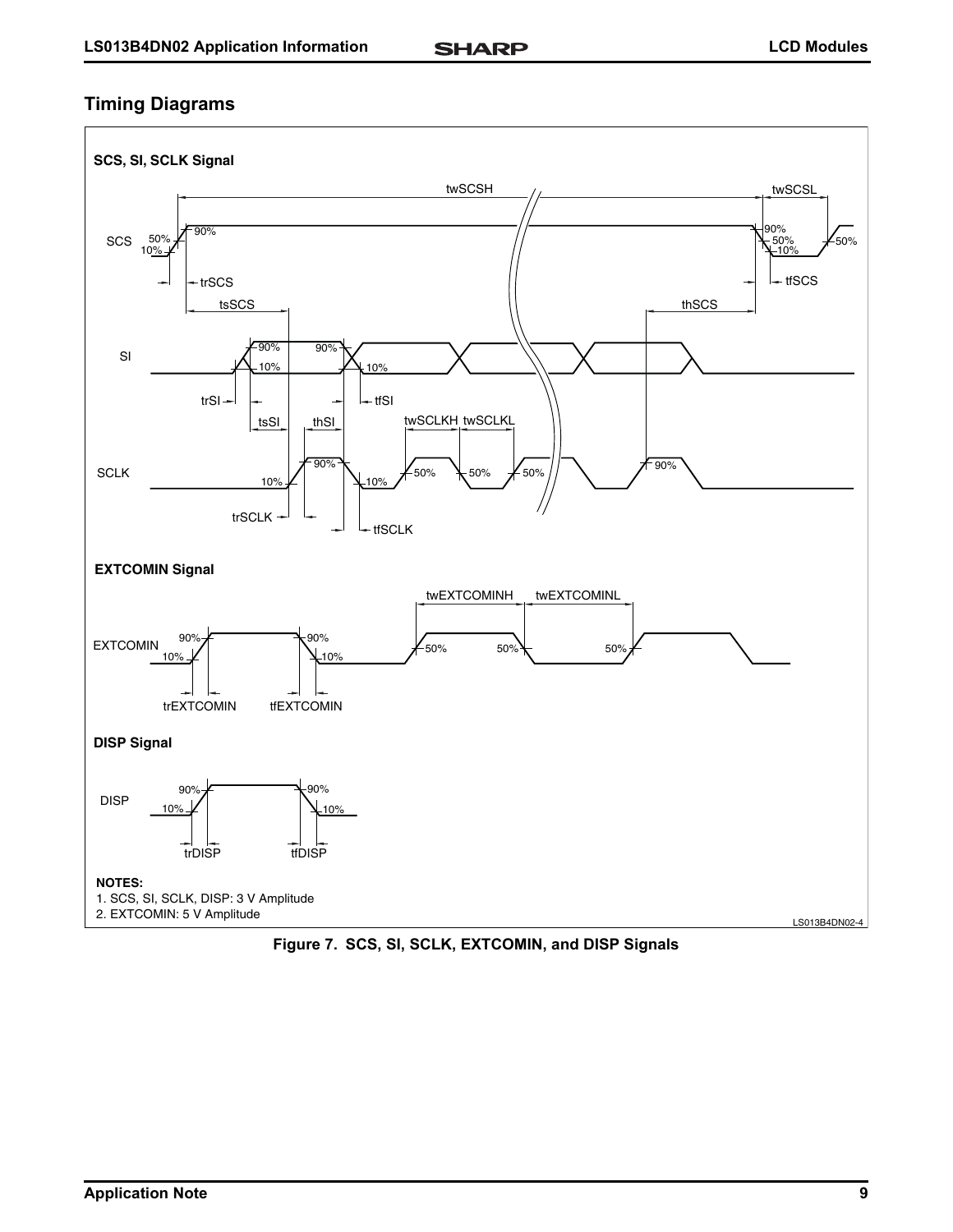# **Timing Diagrams**



**Figure 7. SCS, SI, SCLK, EXTCOMIN, and DISP Signals**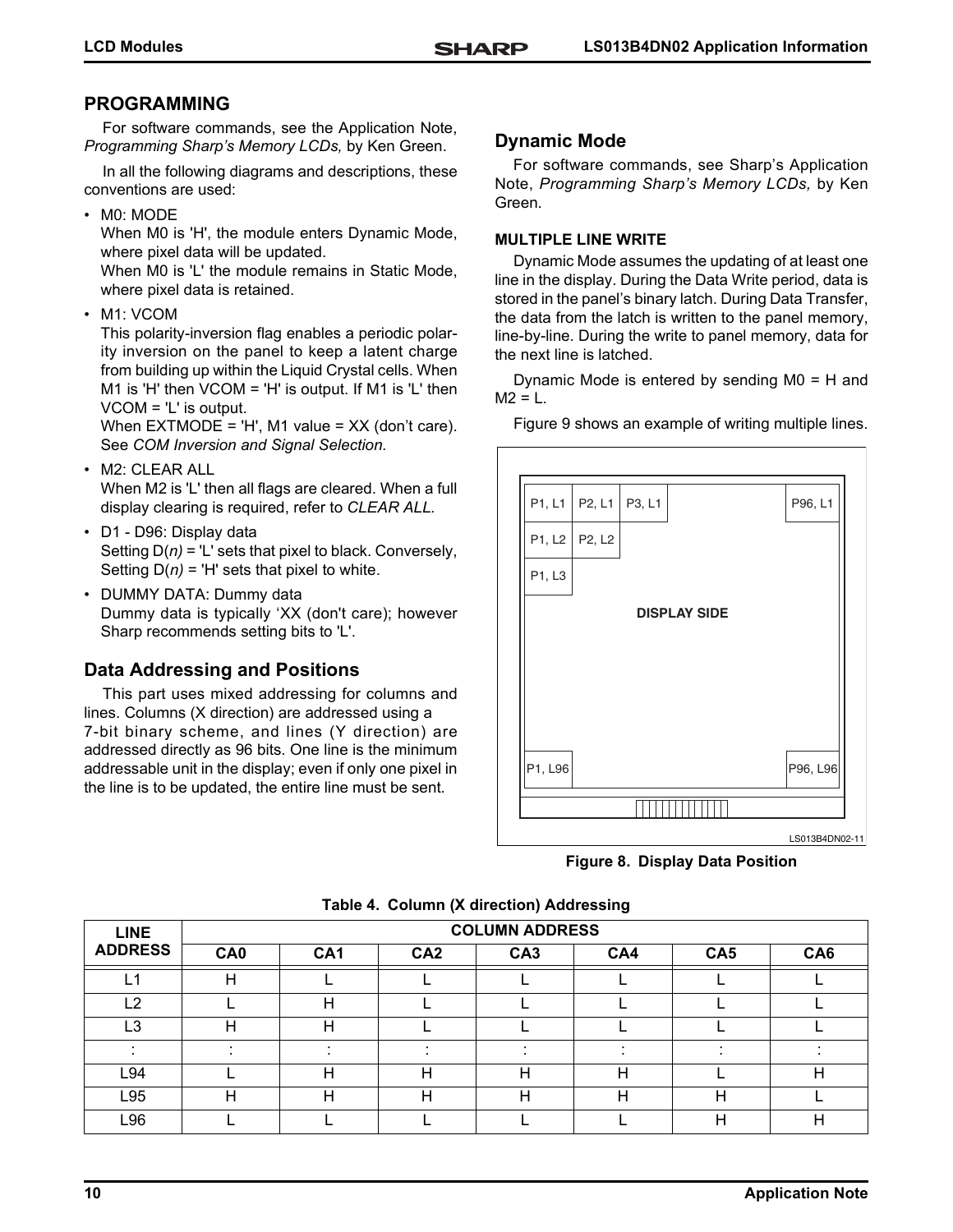# **PROGRAMMING**

For software commands, see the Application Note, *Programming Sharp's Memory LCDs,* by Ken Green.

In all the following diagrams and descriptions, these conventions are used:

• M0: MODE

When M0 is 'H', the module enters Dynamic Mode, where pixel data will be updated.

When M0 is 'L' the module remains in Static Mode, where pixel data is retained.

• M1: VCOM

This polarity-inversion flag enables a periodic polarity inversion on the panel to keep a latent charge from building up within the Liquid Crystal cells. When M1 is 'H' then  $VCOM = 'H'$  is output. If M1 is 'L' then VCOM = 'L' is output.

When EXTMODE = 'H', M1 value = XX (don't care). See *COM Inversion and Signal Selection.*

- M2: CLEAR ALL When M2 is 'L' then all flags are cleared. When a full
- display clearing is required, refer to *CLEAR ALL.* • D1 - D96: Display data
- Setting D(*n)* = 'L' sets that pixel to black. Conversely, Setting  $D(n)$  = 'H' sets that pixel to white.
- DUMMY DATA: Dummy data Dummy data is typically 'XX (don't care); however Sharp recommends setting bits to 'L'.

# **Data Addressing and Positions**

This part uses mixed addressing for columns and lines. Columns (X direction) are addressed using a 7-bit binary scheme, and lines (Y direction) are addressed directly as 96 bits. One line is the minimum addressable unit in the display; even if only one pixel in the line is to be updated, the entire line must be sent.

# **Dynamic Mode**

For software commands, see Sharp's Application Note, *Programming Sharp's Memory LCDs,* by Ken Green.

## **MULTIPLE LINE WRITE**

Dynamic Mode assumes the updating of at least one line in the display. During the Data Write period, data is stored in the panel's binary latch. During Data Transfer, the data from the latch is written to the panel memory, line-by-line. During the write to panel memory, data for the next line is latched.

Dynamic Mode is entered by sending M0 = H and  $M2 = L$ .

[Figure 9](#page-10-0) shows an example of writing multiple lines.

| P1, L1  | P2, L1          | P3, L1 |                     | P96, L1        |
|---------|-----------------|--------|---------------------|----------------|
|         | P1, L2   P2, L2 |        |                     |                |
| P1, L3  |                 |        |                     |                |
|         |                 |        | <b>DISPLAY SIDE</b> |                |
|         |                 |        |                     |                |
|         |                 |        |                     |                |
|         |                 |        |                     |                |
| P1, L96 |                 |        |                     | P96, L96       |
|         |                 |        |                     |                |
|         |                 |        |                     | LS013B4DN02-11 |

**Figure 8. Display Data Position**

| <b>LINE</b>    | <b>COLUMN ADDRESS</b> |                 |                 |                 |     |                 |     |
|----------------|-----------------------|-----------------|-----------------|-----------------|-----|-----------------|-----|
| <b>ADDRESS</b> | CA <sub>0</sub>       | CA <sub>1</sub> | CA <sub>2</sub> | CA <sub>3</sub> | CA4 | CA <sub>5</sub> | CA6 |
| L1             |                       |                 |                 |                 |     |                 |     |
| L2             |                       | H               |                 |                 |     |                 |     |
| L3             |                       | Н               |                 |                 |     |                 |     |
|                |                       |                 |                 |                 |     |                 |     |
| L94            |                       |                 | ┍               |                 |     |                 | Н   |
| L95            |                       | Н               | Н               | н               | н   |                 |     |
| L96            |                       |                 |                 |                 |     |                 | Н   |

**Table 4. Column (X direction) Addressing**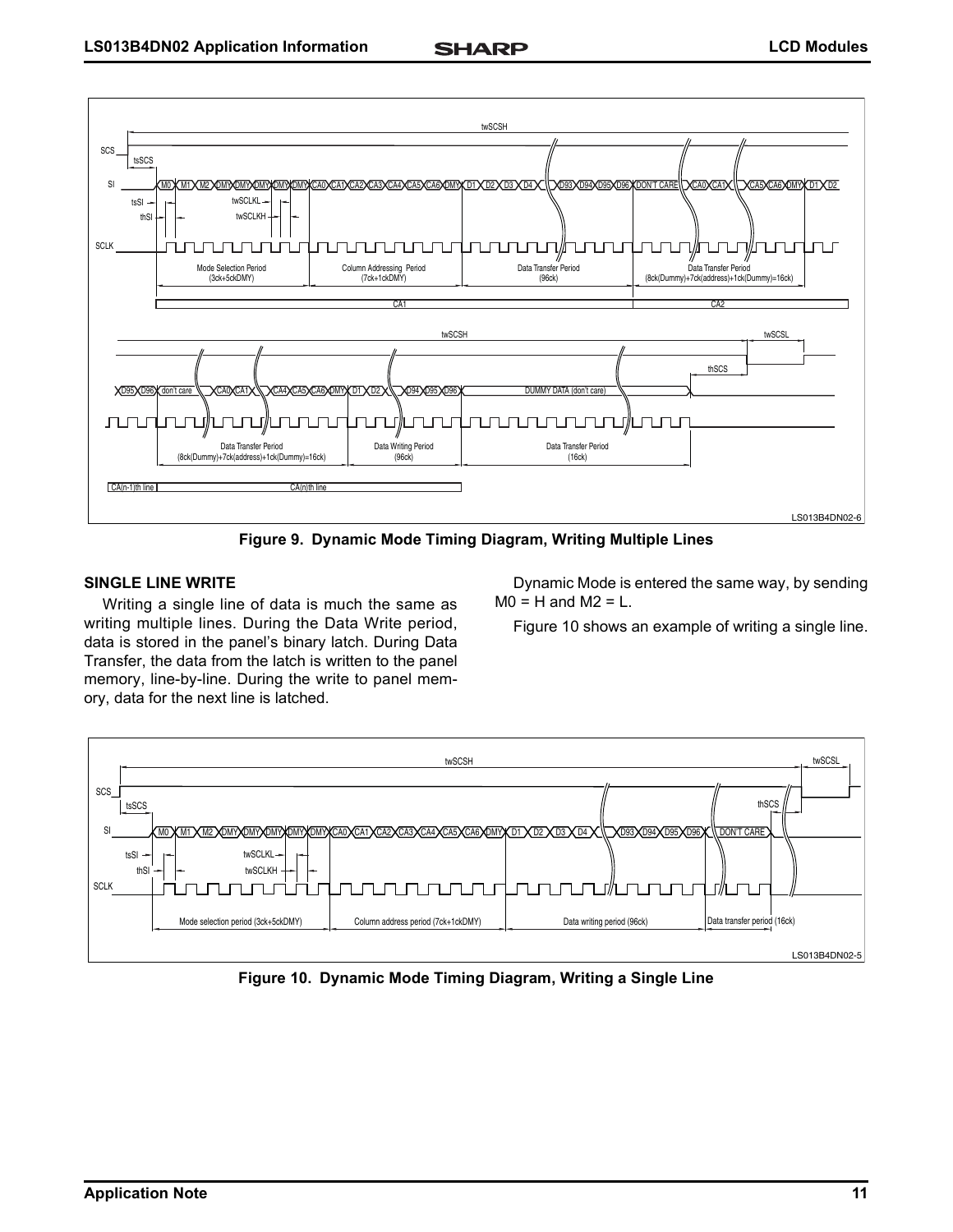

**Figure 9. Dynamic Mode Timing Diagram, Writing Multiple Lines**

## <span id="page-10-0"></span>**SINGLE LINE WRITE**

Writing a single line of data is much the same as writing multiple lines. During the Data Write period, data is stored in the panel's binary latch. During Data Transfer, the data from the latch is written to the panel memory, line-by-line. During the write to panel memory, data for the next line is latched.

Dynamic Mode is entered the same way, by sending  $MO = H$  and  $M2 = L$ .

[Figure 10](#page-10-1) shows an example of writing a single line.



<span id="page-10-1"></span>**Figure 10. Dynamic Mode Timing Diagram, Writing a Single Line**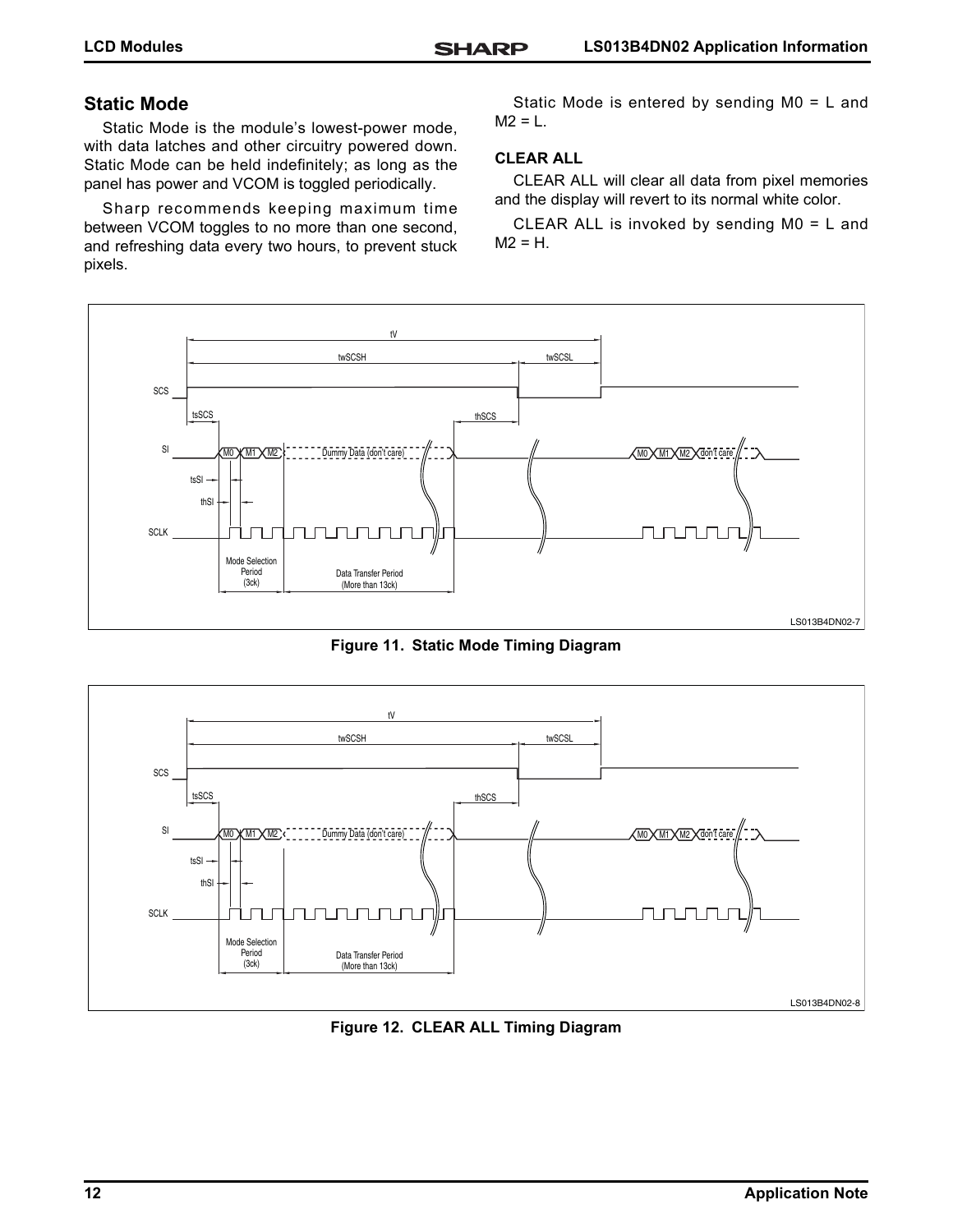# **Static Mode**

Static Mode is the module's lowest-power mode, with data latches and other circuitry powered down. Static Mode can be held indefinitely; as long as the panel has power and VCOM is toggled periodically.

Sharp recommends keeping maximum time between VCOM toggles to no more than one second, and refreshing data every two hours, to prevent stuck pixels.

Static Mode is entered by sending M0 = L and  $M2 = L$ .

#### **CLEAR ALL**

CLEAR ALL will clear all data from pixel memories and the display will revert to its normal white color.

CLEAR ALL is invoked by sending M0 = L and  $M2 = H$ .



**Figure 11. Static Mode Timing Diagram**



**Figure 12. CLEAR ALL Timing Diagram**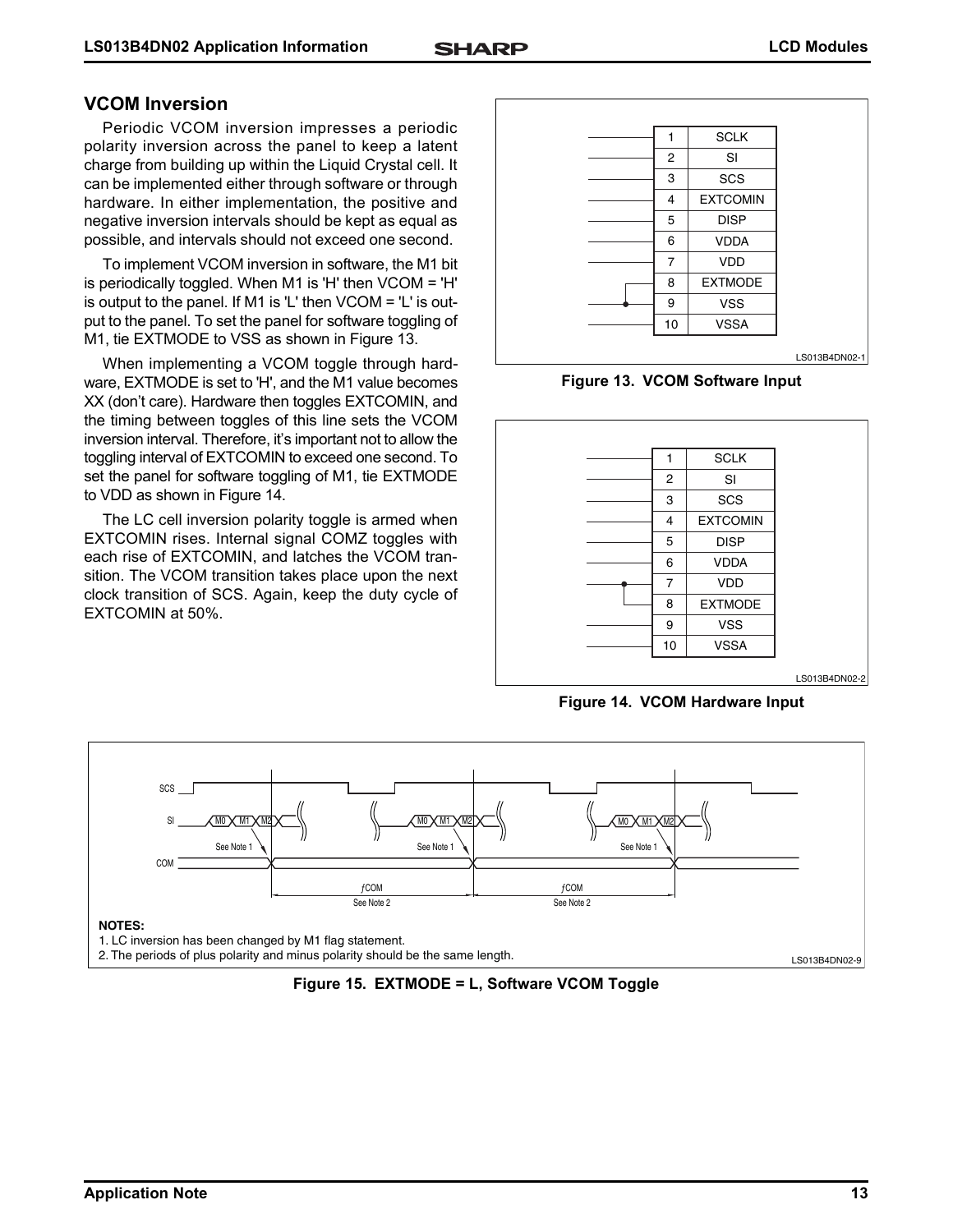# **VCOM Inversion**

Periodic VCOM inversion impresses a periodic polarity inversion across the panel to keep a latent charge from building up within the Liquid Crystal cell. It can be implemented either through software or through hardware. In either implementation, the positive and negative inversion intervals should be kept as equal as possible, and intervals should not exceed one second.

To implement VCOM inversion in software, the M1 bit is periodically toggled. When M1 is 'H' then VCOM = 'H' is output to the panel. If M1 is 'L' then VCOM = 'L' is output to the panel. To set the panel for software toggling of M1, tie EXTMODE to VSS as shown in [Figure 13](#page-12-1).

When implementing a VCOM toggle through hardware, EXTMODE is set to 'H', and the M1 value becomes XX (don't care). Hardware then toggles EXTCOMIN, and the timing between toggles of this line sets the VCOM inversion interval. Therefore, it's important not to allow the toggling interval of EXTCOMIN to exceed one second. To set the panel for software toggling of M1, tie EXTMODE to VDD as shown in [Figure 14](#page-12-0).

The LC cell inversion polarity toggle is armed when EXTCOMIN rises. Internal signal COMZ toggles with each rise of EXTCOMIN, and latches the VCOM transition. The VCOM transition takes place upon the next clock transition of SCS. Again, keep the duty cycle of EXTCOMIN at 50%.

| 1              | <b>SCLK</b>     |               |
|----------------|-----------------|---------------|
| $\overline{2}$ | <b>SI</b>       |               |
| 3              | SCS             |               |
| 4              | <b>EXTCOMIN</b> |               |
| 5              | <b>DISP</b>     |               |
| 6              | <b>VDDA</b>     |               |
| $\overline{7}$ | <b>VDD</b>      |               |
| 8              | <b>EXTMODE</b>  |               |
| 9              | <b>VSS</b>      |               |
| 10             | <b>VSSA</b>     |               |
|                |                 |               |
|                |                 | LS013B4DN02-1 |

**Figure 13. VCOM Software Input**

<span id="page-12-1"></span>

<span id="page-12-0"></span>**Figure 14. VCOM Hardware Input**



**Figure 15. EXTMODE = L, Software VCOM Toggle**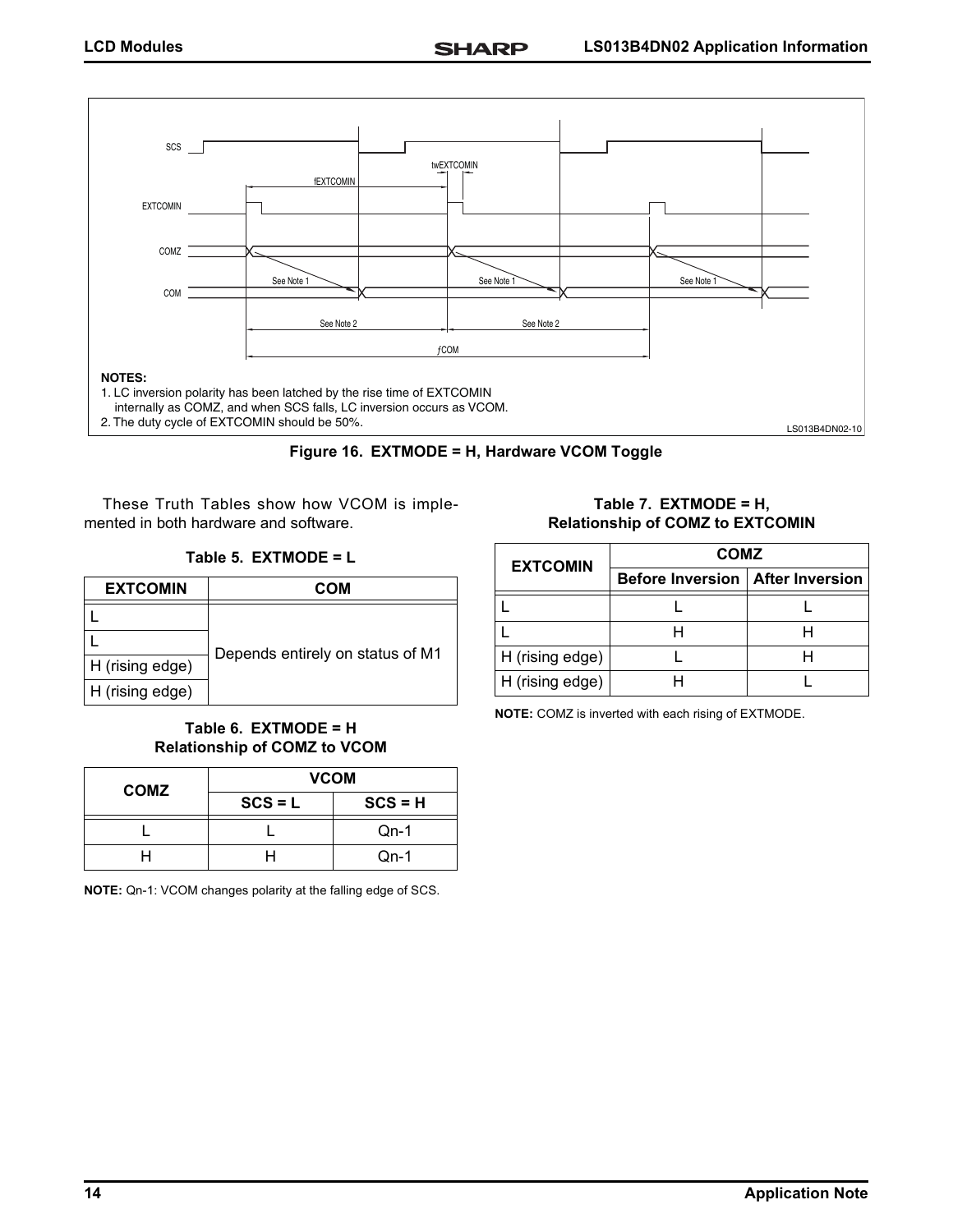



These Truth Tables show how VCOM is implemented in both hardware and software.

**Table 5. EXTMODE = L**

| <b>EXTCOMIN</b> | COM                              |
|-----------------|----------------------------------|
|                 |                                  |
|                 | Depends entirely on status of M1 |
| H (rising edge) |                                  |
| H (rising edge) |                                  |

#### **Table 6. EXTMODE = H Relationship of COMZ to VCOM**

| <b>COMZ</b> | <b>VCOM</b> |           |  |
|-------------|-------------|-----------|--|
|             | $SCS = L$   | $SCS = H$ |  |
|             |             | $Qn-1$    |  |
|             |             | $Qn-1$    |  |

**NOTE:** Qn-1: VCOM changes polarity at the falling edge of SCS.

**Table 7. EXTMODE = H, Relationship of COMZ to EXTCOMIN**

| <b>EXTCOMIN</b> | <b>COMZ</b>                               |  |  |
|-----------------|-------------------------------------------|--|--|
|                 | <b>Before Inversion   After Inversion</b> |  |  |
|                 |                                           |  |  |
|                 |                                           |  |  |
| H (rising edge) |                                           |  |  |
| H (rising edge) |                                           |  |  |

**NOTE:** COMZ is inverted with each rising of EXTMODE.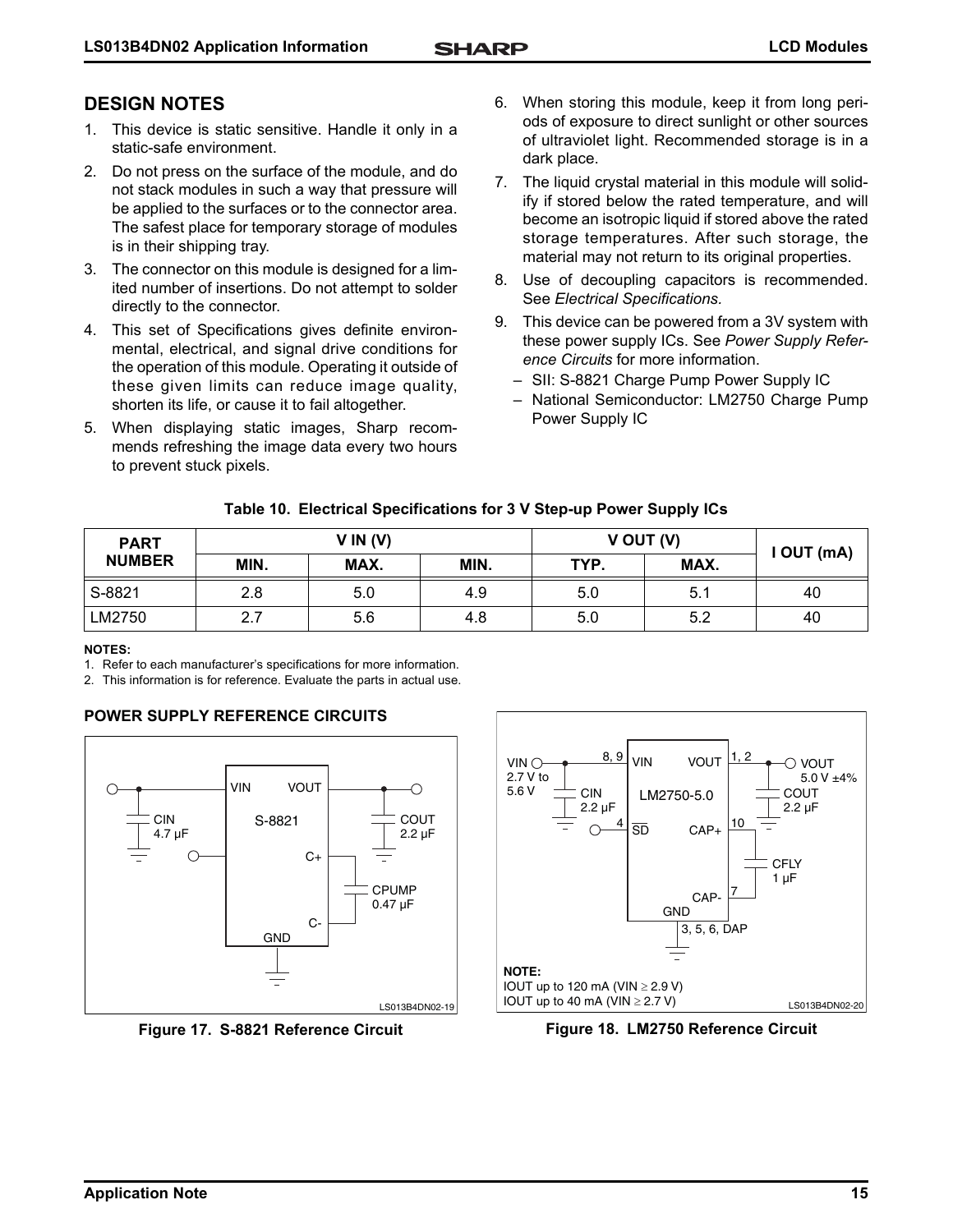# **DESIGN NOTES**

- 1. This device is static sensitive. Handle it only in a static-safe environment.
- 2. Do not press on the surface of the module, and do not stack modules in such a way that pressure will be applied to the surfaces or to the connector area. The safest place for temporary storage of modules is in their shipping tray.
- 3. The connector on this module is designed for a limited number of insertions. Do not attempt to solder directly to the connector.
- 4. This set of Specifications gives definite environmental, electrical, and signal drive conditions for the operation of this module. Operating it outside of these given limits can reduce image quality, shorten its life, or cause it to fail altogether.
- 5. When displaying static images, Sharp recommends refreshing the image data every two hours to prevent stuck pixels.
- 6. When storing this module, keep it from long periods of exposure to direct sunlight or other sources of ultraviolet light. Recommended storage is in a dark place.
- 7. The liquid crystal material in this module will solidify if stored below the rated temperature, and will become an isotropic liquid if stored above the rated storage temperatures. After such storage, the material may not return to its original properties.
- 8. Use of decoupling capacitors is recommended. See *Electrical Specifications.*
- 9. This device can be powered from a 3V system with these power supply ICs. See *Power Supply Reference Circuits* for more information.
	- SII: S-8821 Charge Pump Power Supply IC
	- National Semiconductor: LM2750 Charge Pump Power Supply IC

## **Table 10. Electrical Specifications for 3 V Step-up Power Supply ICs**

| <b>PART</b>   | V IN (V) |      | V OUT (V) |      | I OUT (mA) |    |
|---------------|----------|------|-----------|------|------------|----|
| <b>NUMBER</b> | MIN.     | MAX. | MIN.      | TYP. | MAX.       |    |
| S-8821        | 2.8      | 5.0  | 4.9       | 5.0  | 5.1        | 40 |
| LM2750        | 2.7      | 5.6  | 4.8       | 5.0  | 5.2        | 40 |

#### **NOTES:**

1. Refer to each manufacturer's specifications for more information.

2. This information is for reference. Evaluate the parts in actual use.

#### **POWER SUPPLY REFERENCE CIRCUITS**



**Figure 17. S-8821 Reference Circuit**



**Figure 18. LM2750 Reference Circuit**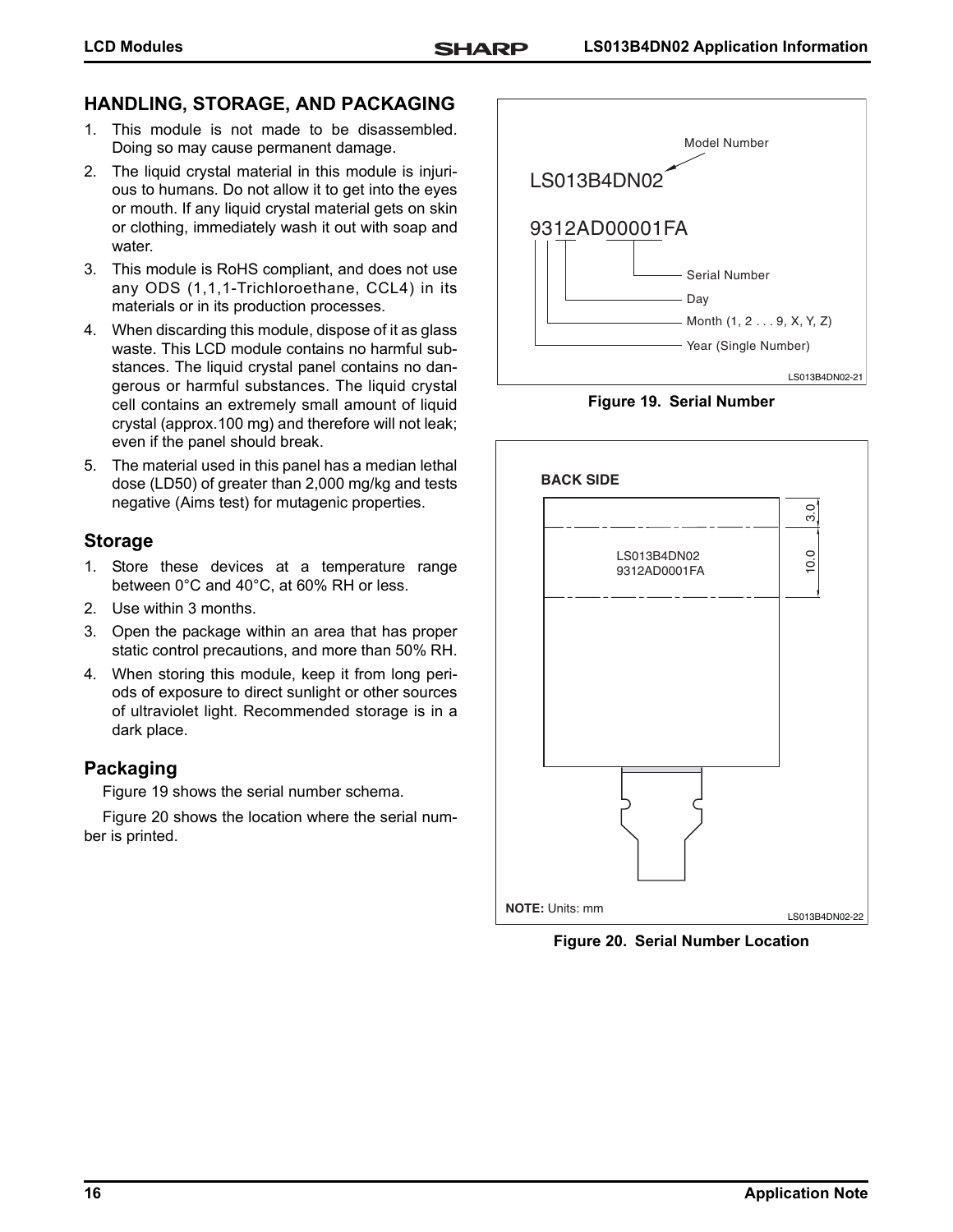# **HANDLING, STORAGE, AND PACKAGING**

- 1. This module is not made to be disassembled. Doing so may cause permanent damage.
- 2. The liquid crystal material in this module is injurious to humans. Do not allow it to get into the eyes or mouth. If any liquid crystal material gets on skin or clothing, immediately wash it out with soap and water.
- 3. This module is RoHS compliant, and does not use any ODS (1,1,1-Trichloroethane, CCL4) in its materials or in its production processes.
- 4. When discarding this module, dispose of it as glass waste. This LCD module contains no harmful substances. The liquid crystal panel contains no dangerous or harmful substances. The liquid crystal cell contains an extremely small amount of liquid crystal (approx.100 mg) and therefore will not leak; even if the panel should break.
- 5. The material used in this panel has a median lethal dose (LD50) of greater than 2,000 mg/kg and tests negative (Aims test) for mutagenic properties.

## **Storage**

- 1. Store these devices at a temperature range between 0°C and 40°C, at 60% RH or less.
- 2. Use within 3 months.
- 3. Open the package within an area that has proper static control precautions, and more than 50% RH.
- 4. When storing this module, keep it from long periods of exposure to direct sunlight or other sources of ultraviolet light. Recommended storage is in a dark place.

# **Packaging**

[Figure 19](#page-15-1) shows the serial number schema.

[Figure 20](#page-15-0) shows the location where the serial number is printed.



**Figure 19. Serial Number**

<span id="page-15-1"></span>

<span id="page-15-0"></span>**Figure 20. Serial Number Location**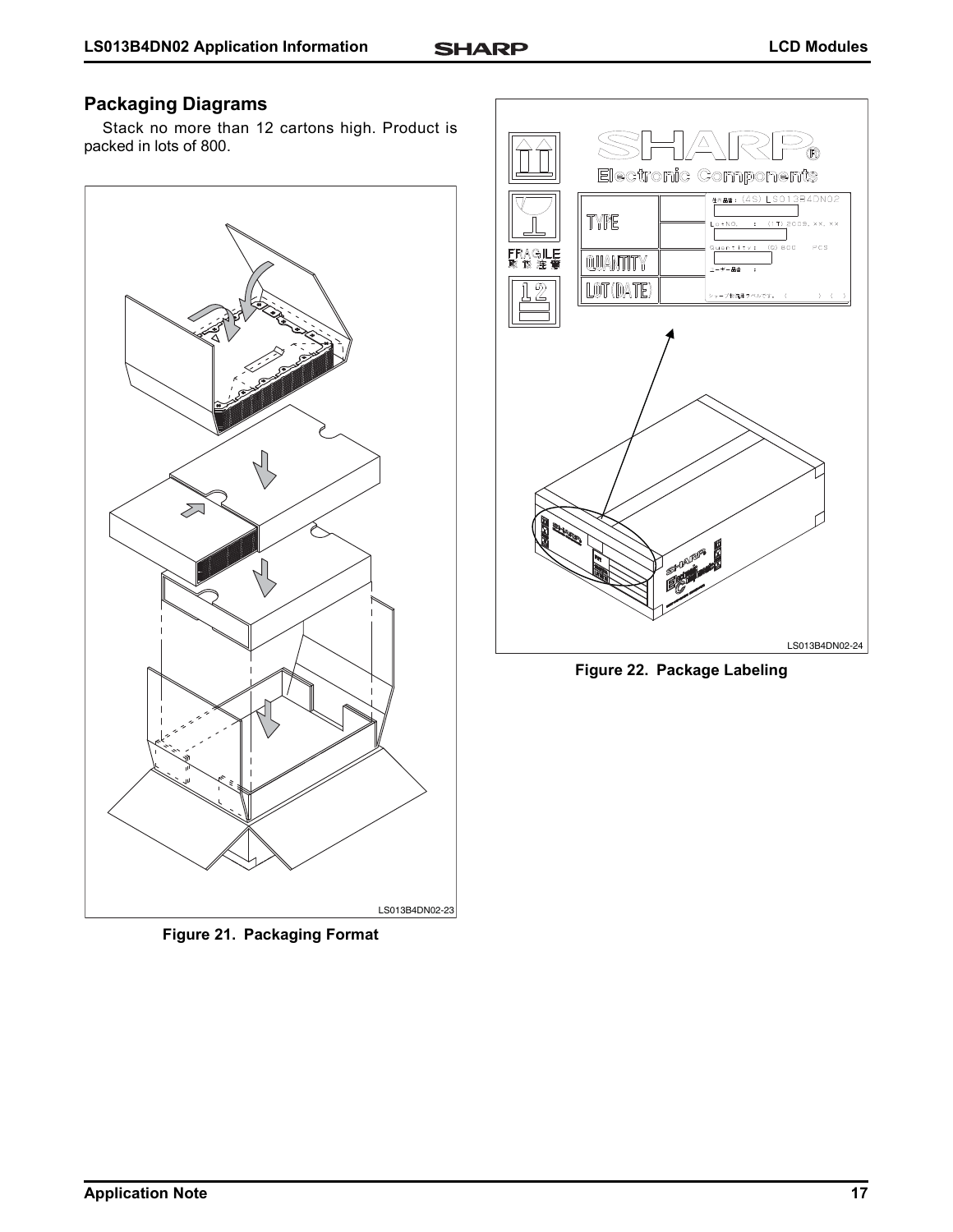# **Packaging Diagrams**

Stack no more than 12 cartons high. Product is packed in lots of 800.



**Figure 21. Packaging Format**



**Figure 22. Package Labeling**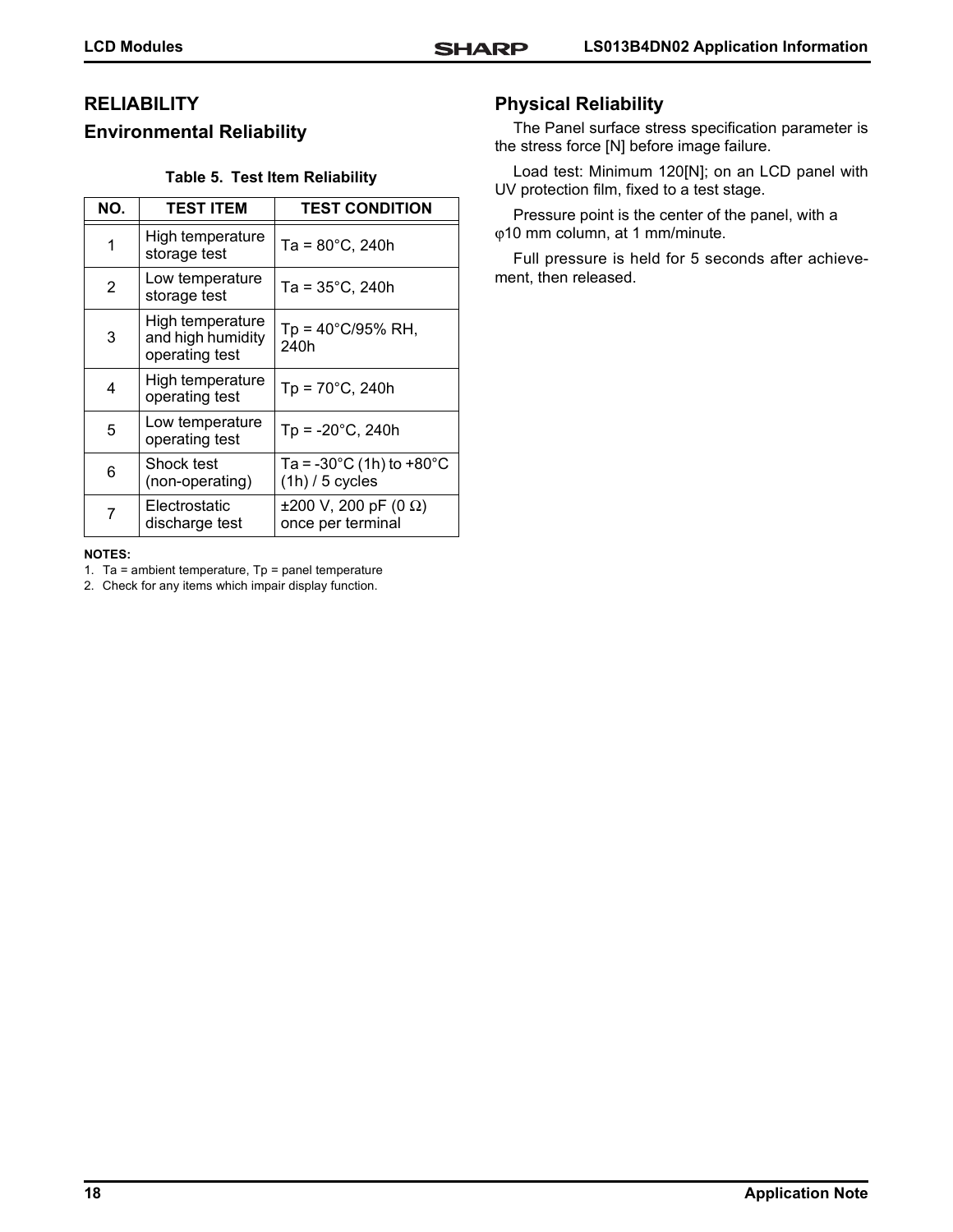# **RELIABILITY Environmental Reliability**

#### **Table 5. Test Item Reliability**

| NO. | <b>TEST ITEM</b>                                        | <b>TEST CONDITION</b>                                               |
|-----|---------------------------------------------------------|---------------------------------------------------------------------|
| 1   | High temperature<br>storage test                        | $Ta = 80^{\circ}C$ , 240h                                           |
| 2   | Low temperature<br>storage test                         | $Ta = 35^{\circ}C$ , 240h                                           |
| 3   | High temperature<br>and high humidity<br>operating test | $Tp = 40^{\circ}C/95\% \text{ RH}$ ,<br>240h                        |
| 4   | High temperature<br>operating test                      | $Tp = 70^{\circ}C$ , 240h                                           |
| 5   | Low temperature<br>operating test                       | $Tp = -20^{\circ}C$ , 240h                                          |
| 6   | Shock test<br>(non-operating)                           | Ta = -30 $^{\circ}$ C (1h) to +80 $^{\circ}$ C<br>$(1h)$ / 5 cycles |
| 7   | Electrostatic<br>discharge test                         | ±200 V, 200 pF (0 Ω)<br>once per terminal                           |

#### **NOTES:**

1. Ta = ambient temperature,  $Tp =$  panel temperature

2. Check for any items which impair display function.

# **Physical Reliability**

The Panel surface stress specification parameter is the stress force [N] before image failure.

Load test: Minimum 120[N]; on an LCD panel with UV protection film, fixed to a test stage.

Pressure point is the center of the panel, with a ϕ10 mm column, at 1 mm/minute.

Full pressure is held for 5 seconds after achievement, then released.